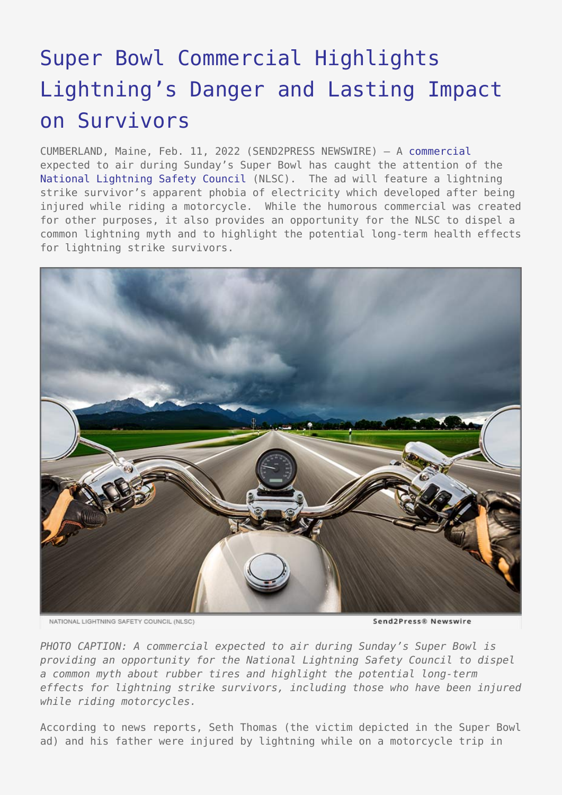## [Super Bowl Commercial Highlights](https://www.send2press.com/wire/super-bowl-commercial-highlights-lightnings-danger-and-lasting-impact-on-survivors/) [Lightning's Danger and Lasting Impact](https://www.send2press.com/wire/super-bowl-commercial-highlights-lightnings-danger-and-lasting-impact-on-survivors/) [on Survivors](https://www.send2press.com/wire/super-bowl-commercial-highlights-lightnings-danger-and-lasting-impact-on-survivors/)

CUMBERLAND, Maine, Feb. 11, 2022 (SEND2PRESS NEWSWIRE) — A [commercial](https://www.youtube.com/watch?v=ZzcdP90akWM) expected to air during Sunday's Super Bowl has caught the attention of the [National Lightning Safety Council](http://lightningsafetycouncil.org/) (NLSC). The ad will feature a lightning strike survivor's apparent phobia of electricity which developed after being injured while riding a motorcycle. While the humorous commercial was created for other purposes, it also provides an opportunity for the NLSC to dispel a common lightning myth and to highlight the potential long-term health effects for lightning strike survivors.



NATIONAL LIGHTNING SAFETY COUNCIL (NLSC)

Send2Press® Newswire

*PHOTO CAPTION: A commercial expected to air during Sunday's Super Bowl is providing an opportunity for the National Lightning Safety Council to dispel a common myth about rubber tires and highlight the potential long-term effects for lightning strike survivors, including those who have been injured while riding motorcycles.*

According to news reports, Seth Thomas (the victim depicted in the Super Bowl ad) and his father were injured by lightning while on a motorcycle trip in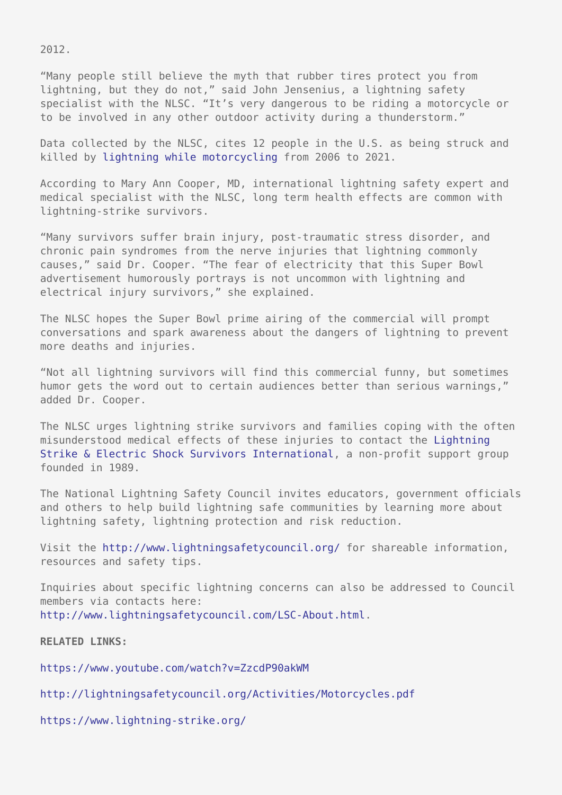2012.

"Many people still believe the myth that rubber tires protect you from lightning, but they do not," said John Jensenius, a lightning safety specialist with the NLSC. "It's very dangerous to be riding a motorcycle or to be involved in any other outdoor activity during a thunderstorm."

Data collected by the NLSC, cites 12 people in the U.S. as being struck and killed by [lightning while motorcycling](http://lightningsafetycouncil.org/Activities/Motorcycles.pdf) from 2006 to 2021.

According to Mary Ann Cooper, MD, international lightning safety expert and medical specialist with the NLSC, long term health effects are common with lightning-strike survivors.

"Many survivors suffer brain injury, post-traumatic stress disorder, and chronic pain syndromes from the nerve injuries that lightning commonly causes," said Dr. Cooper. "The fear of electricity that this Super Bowl advertisement humorously portrays is not uncommon with lightning and electrical injury survivors," she explained.

The NLSC hopes the Super Bowl prime airing of the commercial will prompt conversations and spark awareness about the dangers of lightning to prevent more deaths and injuries.

"Not all lightning survivors will find this commercial funny, but sometimes humor gets the word out to certain audiences better than serious warnings," added Dr. Cooper.

The NLSC urges lightning strike survivors and families coping with the often misunderstood medical effects of these injuries to contact the [Lightning](https://www.lightning-strike.org/) [Strike & Electric Shock Survivors International,](https://www.lightning-strike.org/) a non-profit support group founded in 1989.

The National Lightning Safety Council invites educators, government officials and others to help build lightning safe communities by learning more about lightning safety, lightning protection and risk reduction.

Visit the <http://www.lightningsafetycouncil.org/> for shareable information, resources and safety tips.

Inquiries about specific lightning concerns can also be addressed to Council members via contacts here: [http://www.lightningsafetycouncil.com/LSC-About.html.](http://www.lightningsafetycouncil.com/LSC-About.html)

**RELATED LINKS:**

<https://www.youtube.com/watch?v=ZzcdP90akWM>

<http://lightningsafetycouncil.org/Activities/Motorcycles.pdf>

<https://www.lightning-strike.org/>